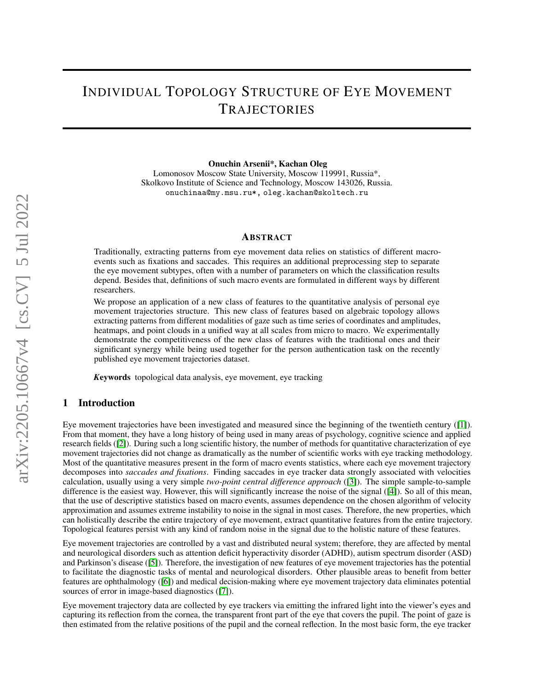# INDIVIDUAL TOPOLOGY STRUCTURE OF EYE MOVEMENT **TRAJECTORIES**

Onuchin Arsenii\*, Kachan Oleg

Lomonosov Moscow State University, Moscow 119991, Russia\*, Skolkovo Institute of Science and Technology, Moscow 143026, Russia. onuchinaa@my.msu.ru\*, oleg.kachan@skoltech.ru

#### ABSTRACT

Traditionally, extracting patterns from eye movement data relies on statistics of different macroevents such as fixations and saccades. This requires an additional preprocessing step to separate the eye movement subtypes, often with a number of parameters on which the classification results depend. Besides that, definitions of such macro events are formulated in different ways by different researchers.

We propose an application of a new class of features to the quantitative analysis of personal eye movement trajectories structure. This new class of features based on algebraic topology allows extracting patterns from different modalities of gaze such as time series of coordinates and amplitudes, heatmaps, and point clouds in a unified way at all scales from micro to macro. We experimentally demonstrate the competitiveness of the new class of features with the traditional ones and their significant synergy while being used together for the person authentication task on the recently published eye movement trajectories dataset.

*K*eywords topological data analysis, eye movement, eye tracking

## 1 Introduction

Eye movement trajectories have been investigated and measured since the beginning of the twentieth century ([\[1\]](#page-6-0)). From that moment, they have a long history of being used in many areas of psychology, cognitive science and applied research fields ([\[2\]](#page-6-1)). During such a long scientific history, the number of methods for quantitative characterization of eye movement trajectories did not change as dramatically as the number of scientific works with eye tracking methodology. Most of the quantitative measures present in the form of macro events statistics, where each eye movement trajectory decomposes into *saccades and fixations*. Finding saccades in eye tracker data strongly associated with velocities calculation, usually using a very simple *two-point central difference approach* ([\[3\]](#page-6-2)). The simple sample-to-sample difference is the easiest way. However, this will significantly increase the noise of the signal ([\[4\]](#page-6-3)). So all of this mean, that the use of descriptive statistics based on macro events, assumes dependence on the chosen algorithm of velocity approximation and assumes extreme instability to noise in the signal in most cases. Therefore, the new properties, which can holistically describe the entire trajectory of eye movement, extract quantitative features from the entire trajectory. Topological features persist with any kind of random noise in the signal due to the holistic nature of these features.

Eye movement trajectories are controlled by a vast and distributed neural system; therefore, they are affected by mental and neurological disorders such as attention deficit hyperactivity disorder (ADHD), autism spectrum disorder (ASD) and Parkinson's disease ([\[5\]](#page-6-4)). Therefore, the investigation of new features of eye movement trajectories has the potential to facilitate the diagnostic tasks of mental and neurological disorders. Other plausible areas to benefit from better features are ophthalmology ([\[6\]](#page-6-5)) and medical decision-making where eye movement trajectory data eliminates potential sources of error in image-based diagnostics ([\[7\]](#page-6-6)).

Eye movement trajectory data are collected by eye trackers via emitting the infrared light into the viewer's eyes and capturing its reflection from the cornea, the transparent front part of the eye that covers the pupil. The point of gaze is then estimated from the relative positions of the pupil and the corneal reflection. In the most basic form, the eye tracker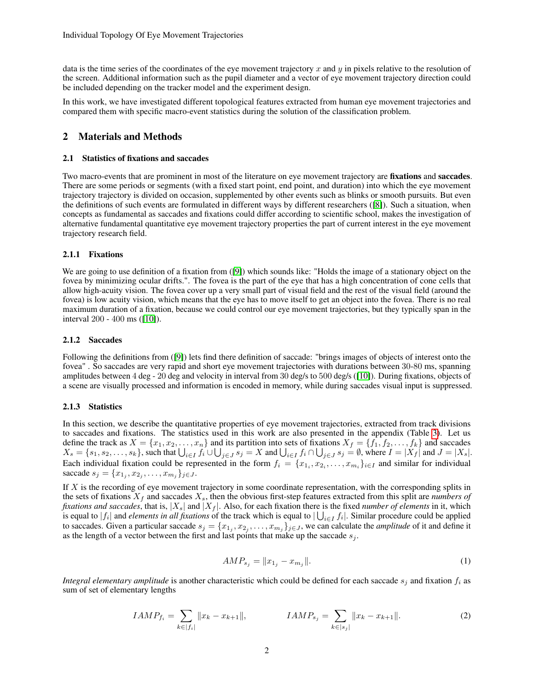data is the time series of the coordinates of the eye movement trajectory x and  $\eta$  in pixels relative to the resolution of the screen. Additional information such as the pupil diameter and a vector of eye movement trajectory direction could be included depending on the tracker model and the experiment design.

In this work, we have investigated different topological features extracted from human eye movement trajectories and compared them with specific macro-event statistics during the solution of the classification problem.

## 2 Materials and Methods

#### 2.1 Statistics of fixations and saccades

Two macro-events that are prominent in most of the literature on eye movement trajectory are fixations and saccades. There are some periods or segments (with a fixed start point, end point, and duration) into which the eye movement trajectory trajectory is divided on occasion, supplemented by other events such as blinks or smooth pursuits. But even the definitions of such events are formulated in different ways by different researchers ([\[8\]](#page-6-7)). Such a situation, when concepts as fundamental as saccades and fixations could differ according to scientific school, makes the investigation of alternative fundamental quantitative eye movement trajectory properties the part of current interest in the eye movement trajectory research field.

### 2.1.1 Fixations

We are going to use definition of a fixation from ([\[9\]](#page-6-8)) which sounds like: "Holds the image of a stationary object on the fovea by minimizing ocular drifts.". The fovea is the part of the eye that has a high concentration of cone cells that allow high-acuity vision. The fovea cover up a very small part of visual field and the rest of the visual field (around the fovea) is low acuity vision, which means that the eye has to move itself to get an object into the fovea. There is no real maximum duration of a fixation, because we could control our eye movement trajectories, but they typically span in the interval 200 - 400 ms ([\[10\]](#page-6-9)).

### 2.1.2 Saccades

Following the definitions from ([\[9\]](#page-6-8)) lets find there definition of saccade: "brings images of objects of interest onto the fovea" . So saccades are very rapid and short eye movement trajectories with durations between 30-80 ms, spanning amplitudes between 4 deg - 20 deg and velocity in interval from 30 deg/s to 500 deg/s ([\[10\]](#page-6-9)). During fixations, objects of a scene are visually processed and information is encoded in memory, while during saccades visual input is suppressed.

## 2.1.3 Statistics

In this section, we describe the quantitative properties of eye movement trajectories, extracted from track divisions to saccades and fixations. The statistics used in this work are also presented in the appendix (Table [3\)](#page-7-0). Let us define the track as  $X = \{x_1, x_2, \ldots, x_n\}$  and its partition into sets of fixations  $X_f = \{f_1, f_2, \ldots, f_k\}$  and saccades  $X_s = \{s_1, s_2, \ldots, s_k\}$ , such that  $\bigcup_{i \in I} f_i \cup \bigcup_{j \in J} s_j = X$  and  $\bigcup_{i \in I} f_i \cap \bigcup_{j \in J} s_j = \emptyset$ , where  $I = |X_f|$  and  $J = |X_s|$ . Each individual fixation could be represented in the form  $f_i = \{x_{1_i}, x_{2_i}, \dots, x_{m_i}\}_{i \in I}$  and similar for individual saccade  $s_j = \{x_{1_j}, x_{2_j}, \dots, x_{m_j}\}_{j \in J}$ .

If  $X$  is the recording of eye movement trajectory in some coordinate representation, with the corresponding splits in the sets of fixations  $X_f$  and saccades  $X_s$ , then the obvious first-step features extracted from this split are *numbers of fixations and saccades*, that is,  $|X_s|$  and  $|X_f|$ . Also, for each fixation there is the fixed *number of elements* in it, which is equal to  $|f_i|$  and *elements in all fixations* of the track which is equal to  $|\bigcup_{i\in I} f_i|$ . Similar procedure could be applied to saccades. Given a particular saccade  $s_j = \{x_{1_j}, x_{2_j}, \dots, x_{m_j}\}_{j \in J}$ , we can calculate the *amplitude* of it and define it as the length of a vector between the first and last points that make up the saccade  $s_i$ .

$$
AMP_{s_j} = ||x_{1_j} - x_{m_j}||. \tag{1}
$$

*Integral elementary amplitude* is another characteristic which could be defined for each saccade  $s_i$  and fixation  $f_i$  as sum of set of elementary lengths

$$
IAMP_{f_i} = \sum_{k \in |f_i|} ||x_k - x_{k+1}||, \qquad IAMP_{s_j} = \sum_{k \in |s_j|} ||x_k - x_{k+1}||. \tag{2}
$$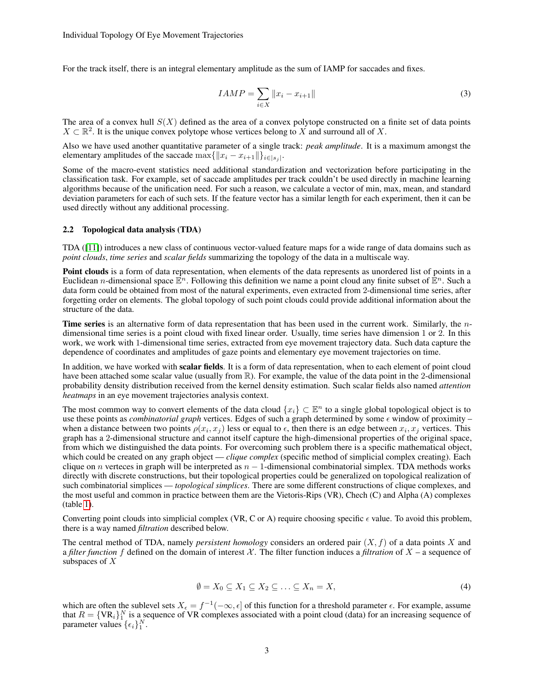For the track itself, there is an integral elementary amplitude as the sum of IAMP for saccades and fixes.

$$
IAMP = \sum_{i \in X} ||x_i - x_{i+1}|| \tag{3}
$$

The area of a convex hull  $S(X)$  defined as the area of a convex polytope constructed on a finite set of data points  $X \subset \mathbb{R}^2$ . It is the unique convex polytope whose vertices belong to X and surround all of X.

Also we have used another quantitative parameter of a single track: *peak amplitude*. It is a maximum amongst the elementary amplitudes of the saccade  $\max\{\|x_i - x_{i+1}\|\}_{i \in |s_j|}$ .

Some of the macro-event statistics need additional standardization and vectorization before participating in the classification task. For example, set of saccade amplitudes per track couldn't be used directly in machine learning algorithms because of the unification need. For such a reason, we calculate a vector of min, max, mean, and standard deviation parameters for each of such sets. If the feature vector has a similar length for each experiment, then it can be used directly without any additional processing.

#### 2.2 Topological data analysis (TDA)

TDA ([\[11\]](#page-6-10)) introduces a new class of continuous vector-valued feature maps for a wide range of data domains such as *point clouds*, *time series* and *scalar fields* summarizing the topology of the data in a multiscale way.

Point clouds is a form of data representation, when elements of the data represents as unordered list of points in a Euclidean *n*-dimensional space  $\mathbb{E}^n$ . Following this definition we name a point cloud any finite subset of  $\mathbb{E}^n$ . Such a data form could be obtained from most of the natural experiments, even extracted from 2-dimensional time series, after forgetting order on elements. The global topology of such point clouds could provide additional information about the structure of the data.

Time series is an alternative form of data representation that has been used in the current work. Similarly, the ndimensional time series is a point cloud with fixed linear order. Usually, time series have dimension 1 or 2. In this work, we work with 1-dimensional time series, extracted from eye movement trajectory data. Such data capture the dependence of coordinates and amplitudes of gaze points and elementary eye movement trajectories on time.

In addition, we have worked with scalar fields. It is a form of data representation, when to each element of point cloud have been attached some scalar value (usually from  $\mathbb R$ ). For example, the value of the data point in the 2-dimensional probability density distribution received from the kernel density estimation. Such scalar fields also named *attention heatmaps* in an eye movement trajectories analysis context.

The most common way to convert elements of the data cloud  $\{x_i\} \subset \mathbb{E}^n$  to a single global topological object is to use these points as *combinatorial graph* vertices. Edges of such a graph determined by some  $\epsilon$  window of proximity – when a distance between two points  $\rho(x_i, x_j)$  less or equal to  $\epsilon$ , then there is an edge between  $x_i, x_j$  vertices. This graph has a 2-dimensional structure and cannot itself capture the high-dimensional properties of the original space, from which we distinguished the data points. For overcoming such problem there is a specific mathematical object, which could be created on any graph object — *clique complex* (specific method of simplicial complex creating). Each clique on n verteces in graph will be interpreted as  $n - 1$ -dimensional combinatorial simplex. TDA methods works directly with discrete constructions, but their topological properties could be generalized on topological realization of such combinatorial simplices — *topological simplices*. There are some different constructions of clique complexes, and the most useful and common in practice between them are the Vietoris-Rips (VR), Chech (C) and Alpha (A) complexes (table [1\)](#page-3-0).

Converting point clouds into simplicial complex (VR, C or A) require choosing specific  $\epsilon$  value. To avoid this problem, there is a way named *filtration* described below.

The central method of TDA, namely *persistent homology* considers an ordered pair  $(X, f)$  of a data points X and a *filter function* f defined on the domain of interest X. The filter function induces a *filtration* of  $X$  – a sequence of subspaces of  $X$ 

$$
\emptyset = X_0 \subseteq X_1 \subseteq X_2 \subseteq \ldots \subseteq X_n = X,\tag{4}
$$

which are often the sublevel sets  $X_{\epsilon} = f^{-1}(-\infty, \epsilon]$  of this function for a threshold parameter  $\epsilon$ . For example, assume that  $R = \{VR_i\}_1^N$  is a sequence of VR complexes associated with a point cloud (data) for an increasing sequence of parameter values  $\{\epsilon_i\}_1^N$ .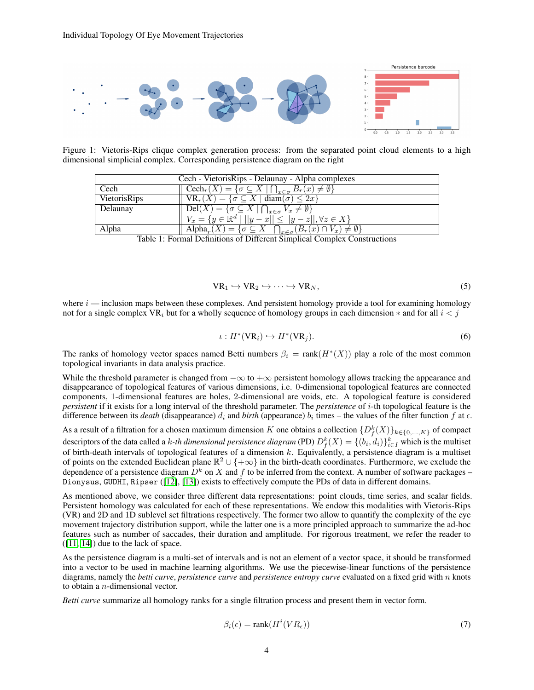

Figure 1: Vietoris-Rips clique complex generation process: from the separated point cloud elements to a high dimensional simplicial complex. Corresponding persistence diagram on the right

| Cech - Vietoris Rips - Delaunay - Alpha complexes                                                                                                                                                                                                                                                                               |                                                                                                               |  |  |  |
|---------------------------------------------------------------------------------------------------------------------------------------------------------------------------------------------------------------------------------------------------------------------------------------------------------------------------------|---------------------------------------------------------------------------------------------------------------|--|--|--|
| Cech                                                                                                                                                                                                                                                                                                                            | $\operatorname{Cech}_r(X) = \{ \sigma \subseteq X \mid \bigcap_{x \in \sigma} B_r(x) \neq \emptyset \}$       |  |  |  |
| VietorisRips                                                                                                                                                                                                                                                                                                                    | $\nabla R_r(X) = \{ \sigma \subseteq X \mid \text{diam}(\sigma) \leq 2x \}$                                   |  |  |  |
| Delaunay                                                                                                                                                                                                                                                                                                                        | $\bigcap$ Del $(X) = \{ \sigma \subseteq X \mid \bigcap_{x \in \sigma} V_x \neq \emptyset \}$                 |  |  |  |
|                                                                                                                                                                                                                                                                                                                                 | $V_x = \{y \in \mathbb{R}^d \mid   y - x   \le   y - z  , \forall z \in X\}$                                  |  |  |  |
| Alpha                                                                                                                                                                                                                                                                                                                           | $\mathrm{Alpha}_r(X) = \{ \sigma \subseteq X \mid \bigcap_{x \in \sigma} (B_r(x) \cap V_x) \neq \emptyset \}$ |  |  |  |
| $\mathbf{m}$ 11 $\pm$ 1 $\mathbf{m}$ $\mathbf{c}$ $\mathbf{v}$ $\mathbf{r}$ $\mathbf{m}$ $\mathbf{r}$ $\mathbf{c}$ $\mathbf{r}$ $\mathbf{r}$ $\mathbf{r}$ $\mathbf{r}$ $\mathbf{r}$ $\mathbf{r}$ $\mathbf{r}$ $\mathbf{r}$ $\mathbf{r}$ $\mathbf{r}$ $\mathbf{r}$ $\mathbf{r}$ $\mathbf{r}$ $\mathbf{r}$ $\mathbf{r}$ $\mathbf$ |                                                                                                               |  |  |  |

<span id="page-3-0"></span>Table 1: Formal Definitions of Different Simplical Complex Constructions

$$
VR_1 \hookrightarrow VR_2 \hookrightarrow \cdots \hookrightarrow VR_N,
$$
 (5)

where  $i$  — inclusion maps between these complexes. And persistent homology provide a tool for examining homology not for a single complex VR<sub>i</sub> but for a wholly sequence of homology groups in each dimension  $*$  and for all  $i < j$ 

$$
\iota: H^*(VR_i) \hookrightarrow H^*(VR_j). \tag{6}
$$

The ranks of homology vector spaces named Betti numbers  $\beta_i = \text{rank}(H^*(X))$  play a role of the most common topological invariants in data analysis practice.

While the threshold parameter is changed from  $-\infty$  to  $+\infty$  persistent homology allows tracking the appearance and disappearance of topological features of various dimensions, i.e. 0-dimensional topological features are connected components, 1-dimensional features are holes, 2-dimensional are voids, etc. A topological feature is considered *persistent* if it exists for a long interval of the threshold parameter. The *persistence* of i-th topological feature is the difference between its *death* (disappearance)  $d_i$  and *birth* (appearance)  $b_i$  times – the values of the filter function  $f$  at  $\epsilon$ .

As a result of a filtration for a chosen maximum dimension K one obtains a collection  $\{D_f^k(X)\}_{k\in\{0,\ldots,K\}}$  of compact descriptors of the data called a *k-th dimensional persistence diagram* (PD)  $D_f^k(X) = \{(b_i, d_i)\}_{i \in I}^k$  which is the multiset of birth-death intervals of topological features of a dimension  $k$ . Equivalently, a persistence diagram is a multiset of points on the extended Euclidean plane  $\mathbb{R}^2 \cup \{+\infty\}$  in the birth-death coordinates. Furthermore, we exclude the dependence of a persistence diagram  $D<sup>k</sup>$  on X and f to be inferred from the context. A number of software packages – Dionysus, GUDHI, Ripser ([\[12\]](#page-6-11), [\[13\]](#page-6-12)) exists to effectively compute the PDs of data in different domains.

As mentioned above, we consider three different data representations: point clouds, time series, and scalar fields. Persistent homology was calculated for each of these representations. We endow this modalities with Vietoris-Rips (VR) and 2D and 1D sublevel set filtrations respectively. The former two allow to quantify the complexity of the eye movement trajectory distribution support, while the latter one is a more principled approach to summarize the ad-hoc features such as number of saccades, their duration and amplitude. For rigorous treatment, we refer the reader to  $([11, 14])$  $([11, 14])$  $([11, 14])$  $([11, 14])$  due to the lack of space.

As the persistence diagram is a multi-set of intervals and is not an element of a vector space, it should be transformed into a vector to be used in machine learning algorithms. We use the piecewise-linear functions of the persistence diagrams, namely the *betti curve*, *persistence curve* and *persistence entropy curve* evaluated on a fixed grid with n knots to obtain a n-dimensional vector.

*Betti curve* summarize all homology ranks for a single filtration process and present them in vector form.

$$
\beta_i(\epsilon) = \text{rank}(H^i(VR_{\epsilon}))\tag{7}
$$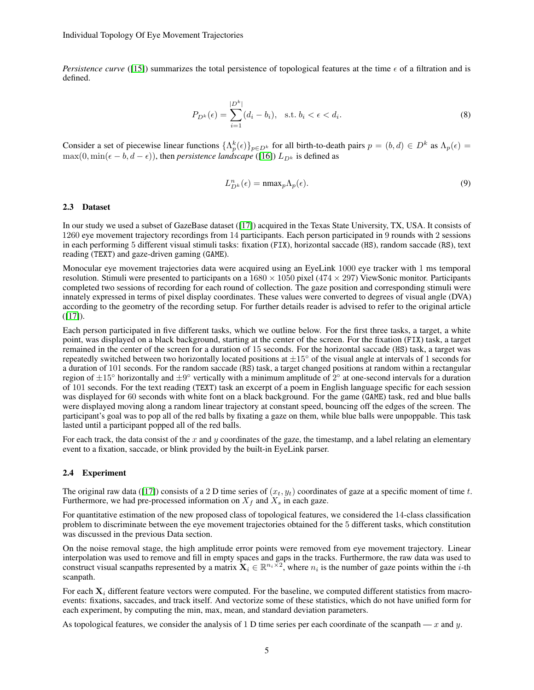*Persistence curve* ([\[15\]](#page-7-2)) summarizes the total persistence of topological features at the time  $\epsilon$  of a filtration and is defined.

$$
P_{D^k}(\epsilon) = \sum_{i=1}^{|D^k|} (d_i - b_i), \text{ s.t. } b_i < \epsilon < d_i.
$$
 (8)

Consider a set of piecewise linear functions  $\{\Lambda_p^k(\epsilon)\}_{p\in D^k}$  for all birth-to-death pairs  $p=(b,d)\in D^k$  as  $\Lambda_p(\epsilon)=$  $\max(0, \min(\epsilon - b, d - \epsilon))$ , then *persistence landscape* ([\[16\]](#page-7-3))  $L_{D^k}$  is defined as

$$
L_{D^k}^n(\epsilon) = \max_p \Lambda_p(\epsilon). \tag{9}
$$

#### 2.3 Dataset

In our study we used a subset of GazeBase dataset ([\[17\]](#page-7-4)) acquired in the Texas State University, TX, USA. It consists of 1260 eye movement trajectory recordings from 14 participants. Each person participated in 9 rounds with 2 sessions in each performing 5 different visual stimuli tasks: fixation (FIX), horizontal saccade (HS), random saccade (RS), text reading (TEXT) and gaze-driven gaming (GAME).

Monocular eye movement trajectories data were acquired using an EyeLink 1000 eye tracker with 1 ms temporal resolution. Stimuli were presented to participants on a  $1680 \times 1050$  pixel (474  $\times$  297) ViewSonic monitor. Participants completed two sessions of recording for each round of collection. The gaze position and corresponding stimuli were innately expressed in terms of pixel display coordinates. These values were converted to degrees of visual angle (DVA) according to the geometry of the recording setup. For further details reader is advised to refer to the original article  $([17]).$  $([17]).$  $([17]).$ 

Each person participated in five different tasks, which we outline below. For the first three tasks, a target, a white point, was displayed on a black background, starting at the center of the screen. For the fixation (FIX) task, a target remained in the center of the screen for a duration of 15 seconds. For the horizontal saccade (HS) task, a target was repeatedly switched between two horizontally located positions at  $\pm 15°$  of the visual angle at intervals of 1 seconds for a duration of 101 seconds. For the random saccade (RS) task, a target changed positions at random within a rectangular region of  $\pm 15^\circ$  horizontally and  $\pm 9^\circ$  vertically with a minimum amplitude of  $2^\circ$  at one-second intervals for a duration of 101 seconds. For the text reading (TEXT) task an excerpt of a poem in English language specific for each session was displayed for 60 seconds with white font on a black background. For the game (GAME) task, red and blue balls were displayed moving along a random linear trajectory at constant speed, bouncing off the edges of the screen. The participant's goal was to pop all of the red balls by fixating a gaze on them, while blue balls were unpoppable. This task lasted until a participant popped all of the red balls.

For each track, the data consist of the x and y coordinates of the gaze, the timestamp, and a label relating an elementary event to a fixation, saccade, or blink provided by the built-in EyeLink parser.

#### 2.4 Experiment

The original raw data ([\[17\]](#page-7-4)) consists of a 2 D time series of  $(x_t, y_t)$  coordinates of gaze at a specific moment of time t. Furthermore, we had pre-processed information on  $X_f$  and  $X_s$  in each gaze.

For quantitative estimation of the new proposed class of topological features, we considered the 14-class classification problem to discriminate between the eye movement trajectories obtained for the 5 different tasks, which constitution was discussed in the previous Data section.

On the noise removal stage, the high amplitude error points were removed from eye movement trajectory. Linear interpolation was used to remove and fill in empty spaces and gaps in the tracks. Furthermore, the raw data was used to construct visual scanpaths represented by a matrix  $X_i \in \mathbb{R}^{n_i \times 2}$ , where  $n_i$  is the number of gaze points within the *i*-th scanpath.

For each  $X_i$  different feature vectors were computed. For the baseline, we computed different statistics from macroevents: fixations, saccades, and track itself. And vectorize some of these statistics, which do not have unified form for each experiment, by computing the min, max, mean, and standard deviation parameters.

As topological features, we consider the analysis of 1 D time series per each coordinate of the scanpath — x and y.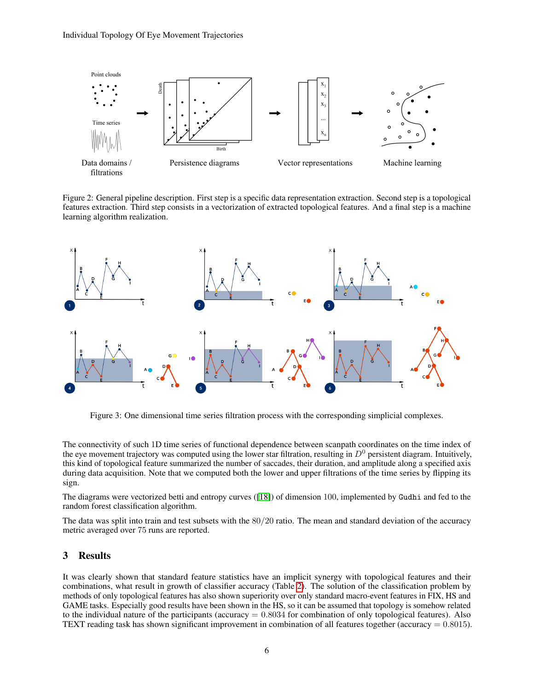

Figure 2: General pipeline description. First step is a specific data representation extraction. Second step is a topological features extraction. Third step consists in a vectorization of extracted topological features. And a final step is a machine learning algorithm realization.



Figure 3: One dimensional time series filtration process with the corresponding simplicial complexes.

The connectivity of such 1D time series of functional dependence between scanpath coordinates on the time index of the eye movement trajectory was computed using the lower star filtration, resulting in  $D^0$  persistent diagram. Intuitively, this kind of topological feature summarized the number of saccades, their duration, and amplitude along a specified axis during data acquisition. Note that we computed both the lower and upper filtrations of the time series by flipping its sign.

The diagrams were vectorized betti and entropy curves ([\[18\]](#page-7-5)) of dimension 100, implemented by Gudhi and fed to the random forest classification algorithm.

The data was split into train and test subsets with the 80/20 ratio. The mean and standard deviation of the accuracy metric averaged over 75 runs are reported.

## 3 Results

It was clearly shown that standard feature statistics have an implicit synergy with topological features and their combinations, what result in growth of classifier accuracy (Table [2\)](#page-6-13). The solution of the classification problem by methods of only topological features has also shown superiority over only standard macro-event features in FIX, HS and GAME tasks. Especially good results have been shown in the HS, so it can be assumed that topology is somehow related to the individual nature of the participants (accuracy  $= 0.8034$  for combination of only topological features). Also TEXT reading task has shown significant improvement in combination of all features together (accuracy  $= 0.8015$ ).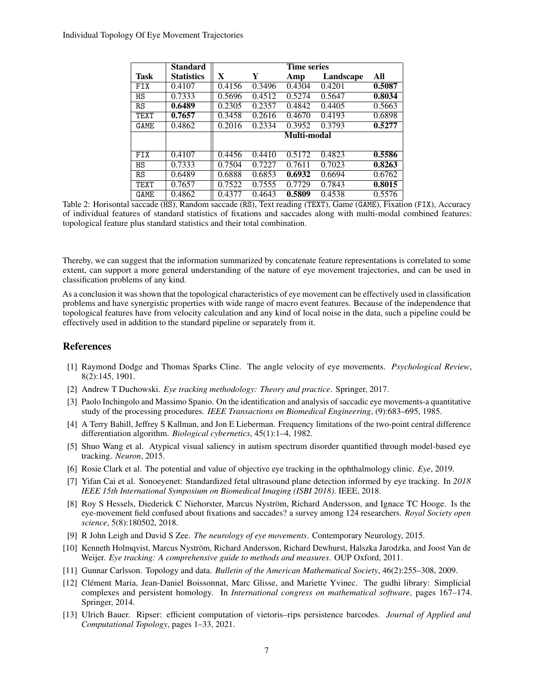|             | <b>Standard</b>   | <b>Time series</b> |        |        |           |        |
|-------------|-------------------|--------------------|--------|--------|-----------|--------|
| <b>Task</b> | <b>Statistics</b> | X                  | Y      | Amp    | Landscape | All    |
| FIX         | 0.4107            | 0.4156             | 0.3496 | 0.4304 | 0.4201    | 0.5087 |
| HS          | 0.7333            | 0.5696             | 0.4512 | 0.5274 | 0.5647    | 0.8034 |
| RS          | 0.6489            | 0.2305             | 0.2357 | 0.4842 | 0.4405    | 0.5663 |
| <b>TEXT</b> | 0.7657            | 0.3458             | 0.2616 | 0.4670 | 0.4193    | 0.6898 |
| <b>GAME</b> | 0.4862            | 0.2016             | 0.2334 | 0.3952 | 0.3793    | 0.5277 |
|             |                   | Multi-modal        |        |        |           |        |
|             |                   |                    |        |        |           |        |
| <b>FIX</b>  | 0.4107            | 0.4456             | 0.4410 | 0.5172 | 0.4823    | 0.5586 |
| HS          | 0.7333            | 0.7504             | 0.7227 | 0.7611 | 0.7023    | 0.8263 |
| RS          | 0.6489            | 0.6888             | 0.6853 | 0.6932 | 0.6694    | 0.6762 |
| TEXT        | 0.7657            | 0.7522             | 0.7555 | 0.7729 | 0.7843    | 0.8015 |
| GAME        | 0.4862            | 0.4377             | 0.4643 | 0.5809 | 0.4538    | 0.5576 |

<span id="page-6-13"></span>Table 2: Horisontal saccade (HS), Random saccade (RS), Text reading (TEXT), Game (GAME), Fixation (FIX), Accuracy of individual features of standard statistics of fixations and saccades along with multi-modal combined features: topological feature plus standard statistics and their total combination.

Thereby, we can suggest that the information summarized by concatenate feature representations is correlated to some extent, can support a more general understanding of the nature of eye movement trajectories, and can be used in classification problems of any kind.

As a conclusion it was shown that the topological characteristics of eye movement can be effectively used in classification problems and have synergistic properties with wide range of macro event features. Because of the independence that topological features have from velocity calculation and any kind of local noise in the data, such a pipeline could be effectively used in addition to the standard pipeline or separately from it.

## **References**

- <span id="page-6-0"></span>[1] Raymond Dodge and Thomas Sparks Cline. The angle velocity of eye movements. *Psychological Review*, 8(2):145, 1901.
- <span id="page-6-1"></span>[2] Andrew T Duchowski. *Eye tracking methodology: Theory and practice*. Springer, 2017.
- <span id="page-6-2"></span>[3] Paolo Inchingolo and Massimo Spanio. On the identification and analysis of saccadic eye movements-a quantitative study of the processing procedures. *IEEE Transactions on Biomedical Engineering*, (9):683–695, 1985.
- <span id="page-6-3"></span>[4] A Terry Bahill, Jeffrey S Kallman, and Jon E Lieberman. Frequency limitations of the two-point central difference differentiation algorithm. *Biological cybernetics*, 45(1):1–4, 1982.
- <span id="page-6-4"></span>[5] Shuo Wang et al. Atypical visual saliency in autism spectrum disorder quantified through model-based eye tracking. *Neuron*, 2015.
- <span id="page-6-5"></span>[6] Rosie Clark et al. The potential and value of objective eye tracking in the ophthalmology clinic. *Eye*, 2019.
- <span id="page-6-6"></span>[7] Yifan Cai et al. Sonoeyenet: Standardized fetal ultrasound plane detection informed by eye tracking. In *2018 IEEE 15th International Symposium on Biomedical Imaging (ISBI 2018)*. IEEE, 2018.
- <span id="page-6-7"></span>[8] Roy S Hessels, Diederick C Niehorster, Marcus Nyström, Richard Andersson, and Ignace TC Hooge. Is the eye-movement field confused about fixations and saccades? a survey among 124 researchers. *Royal Society open science*, 5(8):180502, 2018.
- <span id="page-6-8"></span>[9] R John Leigh and David S Zee. *The neurology of eye movements*. Contemporary Neurology, 2015.
- <span id="page-6-9"></span>[10] Kenneth Holmqvist, Marcus Nyström, Richard Andersson, Richard Dewhurst, Halszka Jarodzka, and Joost Van de Weijer. *Eye tracking: A comprehensive guide to methods and measures*. OUP Oxford, 2011.
- <span id="page-6-10"></span>[11] Gunnar Carlsson. Topology and data. *Bulletin of the American Mathematical Society*, 46(2):255–308, 2009.
- <span id="page-6-11"></span>[12] Clément Maria, Jean-Daniel Boissonnat, Marc Glisse, and Mariette Yvinec. The gudhi library: Simplicial complexes and persistent homology. In *International congress on mathematical software*, pages 167–174. Springer, 2014.
- <span id="page-6-12"></span>[13] Ulrich Bauer. Ripser: efficient computation of vietoris–rips persistence barcodes. *Journal of Applied and Computational Topology*, pages 1–33, 2021.